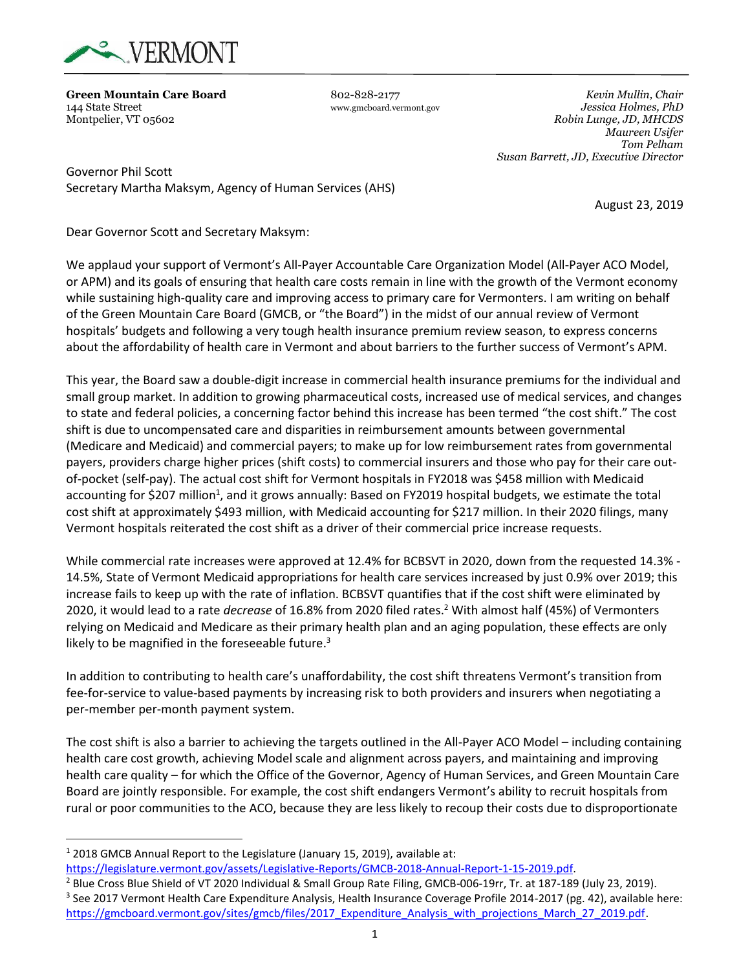

**Green Mountain Care Board** 802-828-2177 *Kevin Mullin, Chair*

144 State Street www.gmcboard.vermont.gov *Jessica Holmes, PhD* Montpelier, VT 05602 *Robin Lunge, JD, MHCDS Maureen Usifer Tom Pelham Susan Barrett, JD, Executive Director*

Governor Phil Scott Secretary Martha Maksym, Agency of Human Services (AHS)

August 23, 2019

Dear Governor Scott and Secretary Maksym:

We applaud your support of Vermont's All-Payer Accountable Care Organization Model (All-Payer ACO Model, or APM) and its goals of ensuring that health care costs remain in line with the growth of the Vermont economy while sustaining high-quality care and improving access to primary care for Vermonters. I am writing on behalf of the Green Mountain Care Board (GMCB, or "the Board") in the midst of our annual review of Vermont hospitals' budgets and following a very tough health insurance premium review season, to express concerns about the affordability of health care in Vermont and about barriers to the further success of Vermont's APM.

This year, the Board saw a double-digit increase in commercial health insurance premiums for the individual and small group market. In addition to growing pharmaceutical costs, increased use of medical services, and changes to state and federal policies, a concerning factor behind this increase has been termed "the cost shift." The cost shift is due to uncompensated care and disparities in reimbursement amounts between governmental (Medicare and Medicaid) and commercial payers; to make up for low reimbursement rates from governmental payers, providers charge higher prices (shift costs) to commercial insurers and those who pay for their care outof-pocket (self-pay). The actual cost shift for Vermont hospitals in FY2018 was \$458 million with Medicaid accounting for \$207 million<sup>1</sup>, and it grows annually: Based on FY2019 hospital budgets, we estimate the total cost shift at approximately \$493 million, with Medicaid accounting for \$217 million. In their 2020 filings, many Vermont hospitals reiterated the cost shift as a driver of their commercial price increase requests.

While commercial rate increases were approved at 12.4% for BCBSVT in 2020, down from the requested 14.3% - 14.5%, State of Vermont Medicaid appropriations for health care services increased by just 0.9% over 2019; this increase fails to keep up with the rate of inflation. BCBSVT quantifies that if the cost shift were eliminated by 2020, it would lead to a rate *decrease* of 16.8% from 2020 filed rates. <sup>2</sup> With almost half (45%) of Vermonters relying on Medicaid and Medicare as their primary health plan and an aging population, these effects are only likely to be magnified in the foreseeable future.<sup>3</sup>

In addition to contributing to health care's unaffordability, the cost shift threatens Vermont's transition from fee-for-service to value-based payments by increasing risk to both providers and insurers when negotiating a per-member per-month payment system.

The cost shift is also a barrier to achieving the targets outlined in the All-Payer ACO Model – including containing health care cost growth, achieving Model scale and alignment across payers, and maintaining and improving health care quality – for which the Office of the Governor, Agency of Human Services, and Green Mountain Care Board are jointly responsible. For example, the cost shift endangers Vermont's ability to recruit hospitals from rural or poor communities to the ACO, because they are less likely to recoup their costs due to disproportionate

<sup>&</sup>lt;sup>1</sup> 2018 GMCB Annual Report to the Legislature (January 15, 2019), available at:

[https://legislature.vermont.gov/assets/Legislative-Reports/GMCB-2018-Annual-Report-1-15-2019.pdf.](https://legislature.vermont.gov/assets/Legislative-Reports/GMCB-2018-Annual-Report-1-15-2019.pdf)

<sup>2</sup> Blue Cross Blue Shield of VT 2020 Individual & Small Group Rate Filing, GMCB-006-19rr, Tr. at 187-189 (July 23, 2019). <sup>3</sup> See 2017 Vermont Health Care Expenditure Analysis, Health Insurance Coverage Profile 2014-2017 (pg. 42), available here: https://gmcboard.vermont.gov/sites/gmcb/files/2017\_Expenditure\_Analysis\_with\_projections\_March\_27\_2019.pdf.